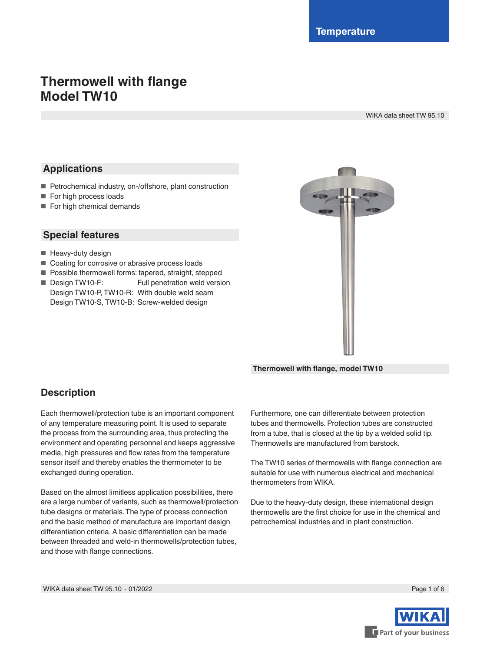# **Thermowell with flange Model TW10**

WIKA data sheet TW 95.10

### **Applications**

- Petrochemical industry, on-/offshore, plant construction
- For high process loads
- For high chemical demands

### **Special features**

- Heavy-duty design
- Coating for corrosive or abrasive process loads
- Possible thermowell forms: tapered, straight, stepped
- Design TW10-F: Full penetration weld version Design TW10-P, TW10-R: With double weld seam Design TW10-S, TW10-B: Screw-welded design



**Thermowell with flange, model TW10**

### **Description**

Each thermowell/protection tube is an important component of any temperature measuring point. It is used to separate the process from the surrounding area, thus protecting the environment and operating personnel and keeps aggressive media, high pressures and flow rates from the temperature sensor itself and thereby enables the thermometer to be exchanged during operation.

Based on the almost limitless application possibilities, there are a large number of variants, such as thermowell/protection tube designs or materials. The type of process connection and the basic method of manufacture are important design differentiation criteria. A basic differentiation can be made between threaded and weld-in thermowells/protection tubes, and those with flange connections.

Furthermore, one can differentiate between protection tubes and thermowells. Protection tubes are constructed from a tube, that is closed at the tip by a welded solid tip. Thermowells are manufactured from barstock.

The TW10 series of thermowells with flange connection are suitable for use with numerous electrical and mechanical thermometers from WIKA.

Due to the heavy-duty design, these international design thermowells are the first choice for use in the chemical and petrochemical industries and in plant construction.

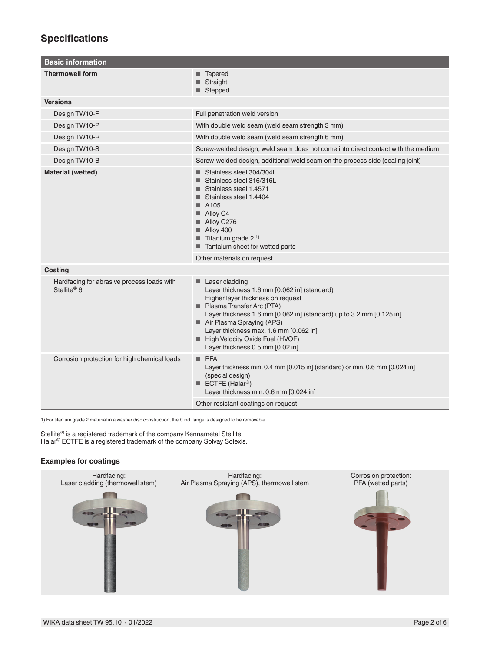### **Specifications**

| <b>Basic information</b>                                              |                                                                                                                                                                                                                                                                                                                                                        |  |  |  |
|-----------------------------------------------------------------------|--------------------------------------------------------------------------------------------------------------------------------------------------------------------------------------------------------------------------------------------------------------------------------------------------------------------------------------------------------|--|--|--|
| <b>Thermowell form</b>                                                | ■ Tapered<br>■ Straight<br>■ Stepped                                                                                                                                                                                                                                                                                                                   |  |  |  |
| <b>Versions</b>                                                       |                                                                                                                                                                                                                                                                                                                                                        |  |  |  |
| Design TW10-F                                                         | Full penetration weld version                                                                                                                                                                                                                                                                                                                          |  |  |  |
| Design TW10-P                                                         | With double weld seam (weld seam strength 3 mm)                                                                                                                                                                                                                                                                                                        |  |  |  |
| Design TW10-R                                                         | With double weld seam (weld seam strength 6 mm)                                                                                                                                                                                                                                                                                                        |  |  |  |
| Design TW10-S                                                         | Screw-welded design, weld seam does not come into direct contact with the medium                                                                                                                                                                                                                                                                       |  |  |  |
| Design TW10-B                                                         | Screw-welded design, additional weld seam on the process side (sealing joint)                                                                                                                                                                                                                                                                          |  |  |  |
| <b>Material (wetted)</b>                                              | Stainless steel 304/304L<br>Stainless steel 316/316L<br>Stainless steel 1.4571<br>Stainless steel 1.4404<br>$\blacksquare$ A105<br>$\blacksquare$ Alloy C4<br>Alloy C276<br>$\blacksquare$ Alloy 400<br><b>Titanium</b> grade 2 <sup>1)</sup><br>Tantalum sheet for wetted parts                                                                       |  |  |  |
|                                                                       | Other materials on request                                                                                                                                                                                                                                                                                                                             |  |  |  |
| Coating                                                               |                                                                                                                                                                                                                                                                                                                                                        |  |  |  |
| Hardfacing for abrasive process loads with<br>Stellite <sup>®</sup> 6 | Laser cladding<br>Layer thickness 1.6 mm [0.062 in] (standard)<br>Higher layer thickness on request<br>Plasma Transfer Arc (PTA)<br>Layer thickness 1.6 mm [0.062 in] (standard) up to 3.2 mm [0.125 in]<br>Air Plasma Spraying (APS)<br>Layer thickness max. 1.6 mm [0.062 in]<br>High Velocity Oxide Fuel (HVOF)<br>Layer thickness 0.5 mm [0.02 in] |  |  |  |
| Corrosion protection for high chemical loads                          | PFA<br>Layer thickness min. 0.4 mm [0.015 in] (standard) or min. 0.6 mm [0.024 in]<br>(special design)<br><b>ECTFE</b> (Halar <sup>®</sup> )<br>Layer thickness min. 0.6 mm [0.024 in]<br>Other resistant coatings on request                                                                                                                          |  |  |  |

1) For titanium grade 2 material in a washer disc construction, the blind flange is designed to be removable.

Stellite® is a registered trademark of the company Kennametal Stellite. Halar® ECTFE is a registered trademark of the company Solvay Solexis.

#### **Examples for coatings**

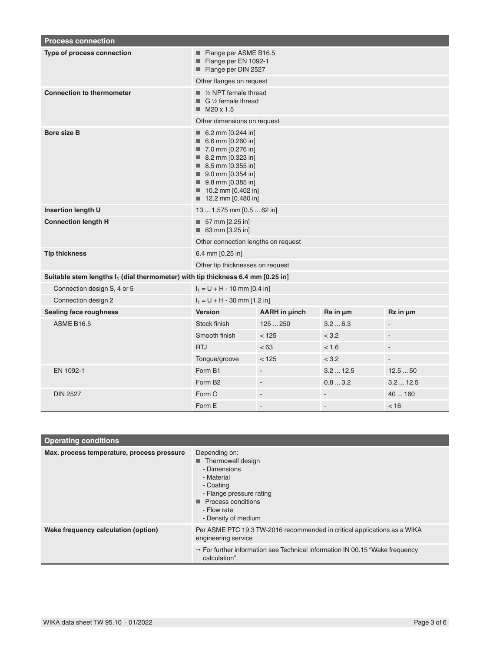| <b>Process connection</b>                                                                   |                                                                                                                                                                                                      |                          |                |                |  |  |
|---------------------------------------------------------------------------------------------|------------------------------------------------------------------------------------------------------------------------------------------------------------------------------------------------------|--------------------------|----------------|----------------|--|--|
| Type of process connection                                                                  | Flange per ASME B16.5<br>Flange per EN 1092-1<br>Flange per DIN 2527                                                                                                                                 |                          |                |                |  |  |
|                                                                                             | Other flanges on request                                                                                                                                                                             |                          |                |                |  |  |
| <b>Connection to thermometer</b>                                                            | $\blacksquare$ 1/2 NPT female thread<br>$G\frac{1}{2}$ female thread<br>$M20 \times 1.5$                                                                                                             |                          |                |                |  |  |
|                                                                                             | Other dimensions on request                                                                                                                                                                          |                          |                |                |  |  |
| <b>Bore size B</b>                                                                          | 6.2 mm $[0.244$ in]<br>6.6 mm $[0.260$ in<br>■ 7.0 mm [0.276 in]<br>■ 8.2 mm [0.323 in]<br>8.5 mm [0.355 in]<br>9.0 mm [0.354 in]<br>9.8 mm [0.385 in]<br>10.2 mm [0.402 in]<br>■ 12.2 mm [0.480 in] |                          |                |                |  |  |
| <b>Insertion length U</b>                                                                   | 13  1,575 mm [0.5  62 in]                                                                                                                                                                            |                          |                |                |  |  |
| <b>Connection length H</b>                                                                  | $\blacksquare$ 57 mm [2.25 in]<br>■ 83 mm [3.25 in]                                                                                                                                                  |                          |                |                |  |  |
|                                                                                             | Other connection lengths on request                                                                                                                                                                  |                          |                |                |  |  |
| <b>Tip thickness</b>                                                                        | 6.4 mm [0.25 in]                                                                                                                                                                                     |                          |                |                |  |  |
|                                                                                             | Other tip thicknesses on request                                                                                                                                                                     |                          |                |                |  |  |
| Suitable stem lengths I <sub>1</sub> (dial thermometer) with tip thickness 6.4 mm [0.25 in] |                                                                                                                                                                                                      |                          |                |                |  |  |
| Connection design S, 4 or 5                                                                 | $I_1 = U + H - 10$ mm [0.4 in]                                                                                                                                                                       |                          |                |                |  |  |
| Connection design 2                                                                         | $I_1 = U + H - 30$ mm [1.2 in]                                                                                                                                                                       |                          |                |                |  |  |
| <b>Sealing face roughness</b>                                                               | <b>Version</b>                                                                                                                                                                                       | <b>AARH</b> in µinch     | $Ra$ in $µm$   | $Rz$ in $µm$   |  |  |
| <b>ASME B16.5</b>                                                                           | Stock finish                                                                                                                                                                                         | 125250                   | 3.26.3         | ÷,             |  |  |
|                                                                                             | Smooth finish                                                                                                                                                                                        | < 125                    | < 3.2          | $\blacksquare$ |  |  |
|                                                                                             | <b>RTJ</b>                                                                                                                                                                                           | < 63                     | < 1.6          | ÷,             |  |  |
|                                                                                             | Tongue/groove                                                                                                                                                                                        | < 125                    | < 3.2          | $\blacksquare$ |  |  |
| EN 1092-1                                                                                   | Form B1                                                                                                                                                                                              | $\overline{\phantom{a}}$ | 3.212.5        | 12.550         |  |  |
|                                                                                             | Form B <sub>2</sub>                                                                                                                                                                                  | $\blacksquare$           | 0.83.2         | 3.212.5        |  |  |
| <b>DIN 2527</b>                                                                             | Form C                                                                                                                                                                                               | $\overline{a}$           |                | 40  160        |  |  |
|                                                                                             | Form E                                                                                                                                                                                               | $\overline{a}$           | $\overline{a}$ | < 16           |  |  |

| <b>Operating conditions</b>                |                                                                                                                                                                                                              |  |  |  |  |
|--------------------------------------------|--------------------------------------------------------------------------------------------------------------------------------------------------------------------------------------------------------------|--|--|--|--|
| Max. process temperature, process pressure | Depending on:<br>Thermowell design<br>- Dimensions<br>- Material<br>- Coating<br>- Flange pressure rating<br><b>Process conditions</b><br>- Flow rate<br>- Density of medium                                 |  |  |  |  |
| Wake frequency calculation (option)        | Per ASME PTC 19.3 TW-2016 recommended in critical applications as a WIKA<br>engineering service<br>$\rightarrow$ For further information see Technical information IN 00.15 "Wake frequency<br>calculation". |  |  |  |  |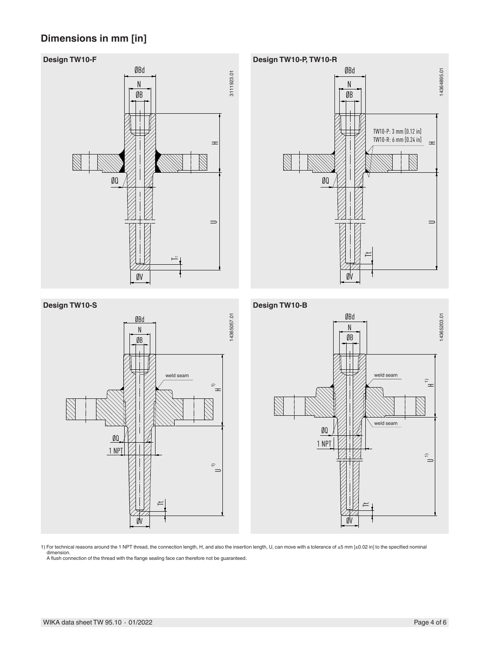## **Dimensions in mm [in]**









1) For technical reasons around the 1 NPT thread, the connection length, H, and also the insertion length, U, can move with a tolerance of ±5 mm [±0.02 in] to the specified nominal dimension. A flush connection of the thread with the flange sealing face can therefore not be guaranteed.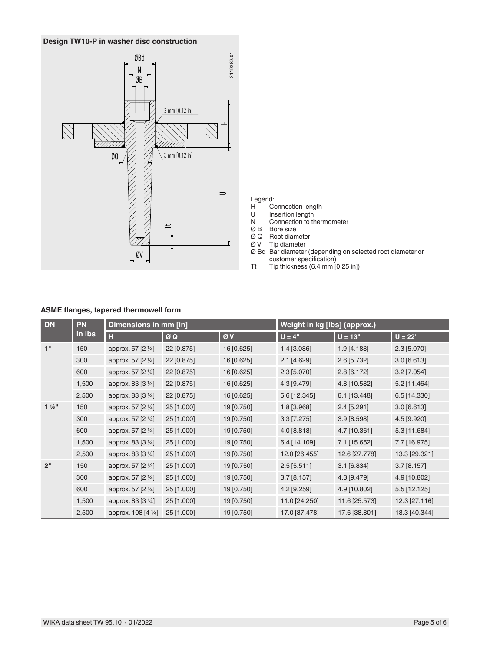

# Legend:<br>H Co

- H Connection length<br>U Insertion length
	-
- U Insertion length<br>N Connection to the Connection to thermometer
- Ø B Bore size
- Ø Q Root diameter
- Ø V Tip diameter
- Ø Bd Bar diameter (depending on selected root diameter or customer specification)
- Tt Tip thickness (6.4 mm [0.25 in])

#### **ASME flanges, tapered thermowell form**

| <b>DN</b>      | <b>PN</b><br>in Ibs | Dimensions in mm [in] |            |            | Weight in kg [lbs] (approx.) |               |               |
|----------------|---------------------|-----------------------|------------|------------|------------------------------|---------------|---------------|
|                |                     | H                     | ØQ         | ØV         | $U = 4"$                     | $U = 13"$     | $U = 22"$     |
| 1"             | 150                 | approx. 57 [2 1/4]    | 22 [0.875] | 16 [0.625] | 1.4 [3.086]                  | $1.9$ [4.188] | 2.3 [5.070]   |
|                | 300                 | approx. 57 [2 1/4]    | 22 [0.875] | 16 [0.625] | 2.1 [4.629]                  | 2.6 [5.732]   | 3.0 [6.613]   |
|                | 600                 | approx. 57 [2 1/4]    | 22 [0.875] | 16 [0.625] | 2.3 [5.070]                  | $2.8$ [6.172] | $3.2$ [7.054] |
|                | 1,500               | approx. 83 [3 1/4]    | 22 [0.875] | 16 [0.625] | 4.3 [9.479]                  | 4.8 [10.582]  | 5.2 [11.464]  |
|                | 2,500               | approx. 83 [3 1/4]    | 22 [0.875] | 16 [0.625] | 5.6 [12.345]                 | 6.1 [13.448]  | 6.5 [14.330]  |
| $1\frac{1}{2}$ | 150                 | approx. 57 [2 1/4]    | 25 [1.000] | 19 [0.750] | 1.8 [3.968]                  | 2.4 [5.291]   | 3.0 [6.613]   |
|                | 300                 | approx. 57 [2 1/4]    | 25 [1.000] | 19 [0.750] | $3.3$ [7.275]                | 3.9 [8.598]   | 4.5 [9.920]   |
|                | 600                 | approx. 57 [2 1/4]    | 25 [1.000] | 19 [0.750] | 4.0 [8.818]                  | 4.7 [10.361]  | 5.3 [11.684]  |
|                | 1,500               | approx. 83 [3 1/4]    | 25 [1.000] | 19 [0.750] | 6.4 [14.109]                 | 7.1 [15.652]  | 7.7 [16.975]  |
|                | 2,500               | approx. 83 [3 1/4]    | 25 [1.000] | 19 [0.750] | 12.0 [26.455]                | 12.6 [27.778] | 13.3 [29.321] |
| 2"             | 150                 | approx. 57 [2 1/4]    | 25 [1.000] | 19 [0.750] | $2.5$ [5.511]                | $3.1$ [6.834] | $3.7$ [8.157] |
|                | 300                 | approx. 57 [2 1/4]    | 25 [1.000] | 19 [0.750] | 3.7 [8.157]                  | 4.3 [9.479]   | 4.9 [10.802]  |
|                | 600                 | approx. 57 [2 1/4]    | 25 [1.000] | 19 [0.750] | 4.2 [9.259]                  | 4.9 [10.802]  | 5.5 [12.125]  |
|                | 1,500               | approx. 83 [3 1/4]    | 25 [1.000] | 19 [0.750] | 11.0 [24.250]                | 11.6 [25.573] | 12.3 [27.116] |
|                | 2,500               | approx. 108 [4 1/4]   | 25 [1.000] | 19 [0.750] | 17.0 [37.478]                | 17.6 [38.801] | 18.3 [40.344] |